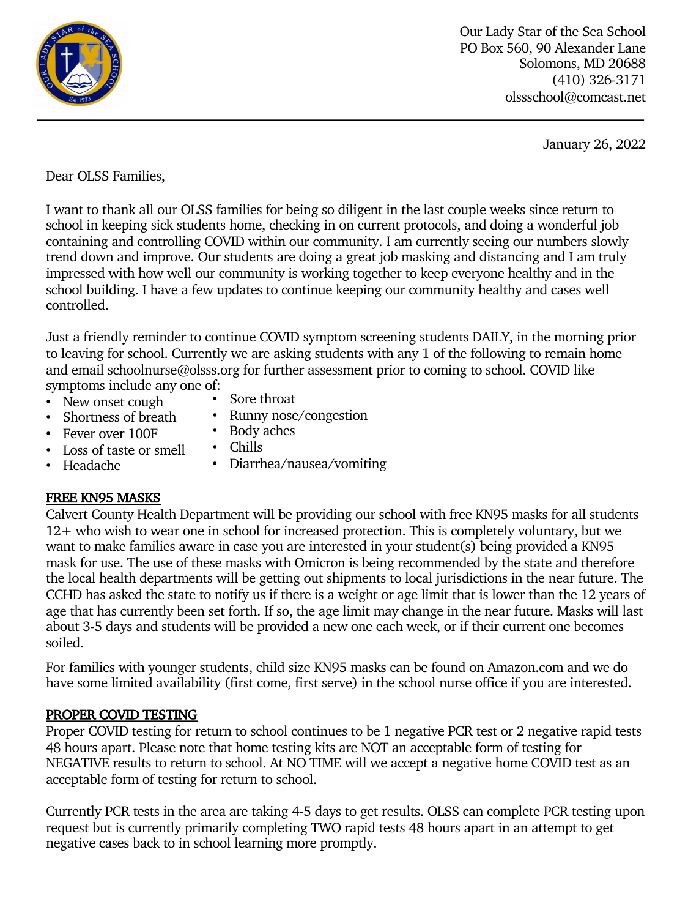

Our Lady Star of the Sea School PO Box 560, 90 Alexander Lane Solomons, MD 20688 (410) 326-3171 olssschool@comcast.net

January 26, 2022

Dear OLSS Families,

I want to thank all our OLSS families for being so diligent in the last couple weeks since return to school in keeping sick students home, checking in on current protocols, and doing a wonderful job containing and controlling COVID within our community. I am currently seeing our numbers slowly trend down and improve. Our students are doing a great job masking and distancing and I am truly impressed with how well our community is working together to keep everyone healthy and in the school building. I have a few updates to continue keeping our community healthy and cases well controlled.

Just a friendly reminder to continue COVID symptom screening students DAILY, in the morning prior to leaving for school. Currently we are asking students with any 1 of the following to remain home and email schoolnurse@olsss.org for further assessment prior to coming to school. COVID like symptoms include any one of:

- New onset cough
- Sore throat
- Shortness of breath
- Runny nose/congestion
- Fever over 100F
- Body aches • Chills
- Loss of taste or smell • Headache
- Diarrhea/nausea/vomiting

# FREE KN95 MASKS

Calvert County Health Department will be providing our school with free KN95 masks for all students 12+ who wish to wear one in school for increased protection. This is completely voluntary, but we want to make families aware in case you are interested in your student(s) being provided a KN95 mask for use. The use of these masks with Omicron is being recommended by the state and therefore the local health departments will be getting out shipments to local jurisdictions in the near future. The CCHD has asked the state to notify us if there is a weight or age limit that is lower than the 12 years of age that has currently been set forth. If so, the age limit may change in the near future. Masks will last about 3-5 days and students will be provided a new one each week, or if their current one becomes soiled.

For families with younger students, child size KN95 masks can be found on Amazon.com and we do have some limited availability (first come, first serve) in the school nurse office if you are interested.

# PROPER COVID TESTING

Proper COVID testing for return to school continues to be 1 negative PCR test or 2 negative rapid tests 48 hours apart. Please note that home testing kits are NOT an acceptable form of testing for NEGATIVE results to return to school. At NO TIME will we accept a negative home COVID test as an acceptable form of testing for return to school.

Currently PCR tests in the area are taking 4-5 days to get results. OLSS can complete PCR testing upon request but is currently primarily completing TWO rapid tests 48 hours apart in an attempt to get negative cases back to in school learning more promptly.